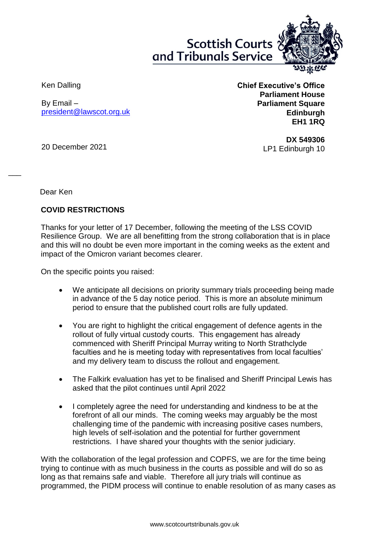**Scottish Courts** and Tribunals Service



Ken Dalling

By Email – [president@lawscot.org.uk](mailto:president@lawscot.org.uk) **Chief Executive's Office Parliament House Parliament Square Edinburgh EH1 1RQ**

20 December 2021

**DX 549306** LP1 Edinburgh 10

Dear Ken

 $\overline{\phantom{a}}$ 

## **COVID RESTRICTIONS**

Thanks for your letter of 17 December, following the meeting of the LSS COVID Resilience Group. We are all benefitting from the strong collaboration that is in place and this will no doubt be even more important in the coming weeks as the extent and impact of the Omicron variant becomes clearer.

On the specific points you raised:

- We anticipate all decisions on priority summary trials proceeding being made in advance of the 5 day notice period. This is more an absolute minimum period to ensure that the published court rolls are fully updated.
- You are right to highlight the critical engagement of defence agents in the rollout of fully virtual custody courts. This engagement has already commenced with Sheriff Principal Murray writing to North Strathclyde faculties and he is meeting today with representatives from local faculties' and my delivery team to discuss the rollout and engagement.
- The Falkirk evaluation has yet to be finalised and Sheriff Principal Lewis has asked that the pilot continues until April 2022
- I completely agree the need for understanding and kindness to be at the forefront of all our minds. The coming weeks may arguably be the most challenging time of the pandemic with increasing positive cases numbers, high levels of self-isolation and the potential for further government restrictions. I have shared your thoughts with the senior judiciary.

With the collaboration of the legal profession and COPFS, we are for the time being trying to continue with as much business in the courts as possible and will do so as long as that remains safe and viable. Therefore all jury trials will continue as programmed, the PIDM process will continue to enable resolution of as many cases as